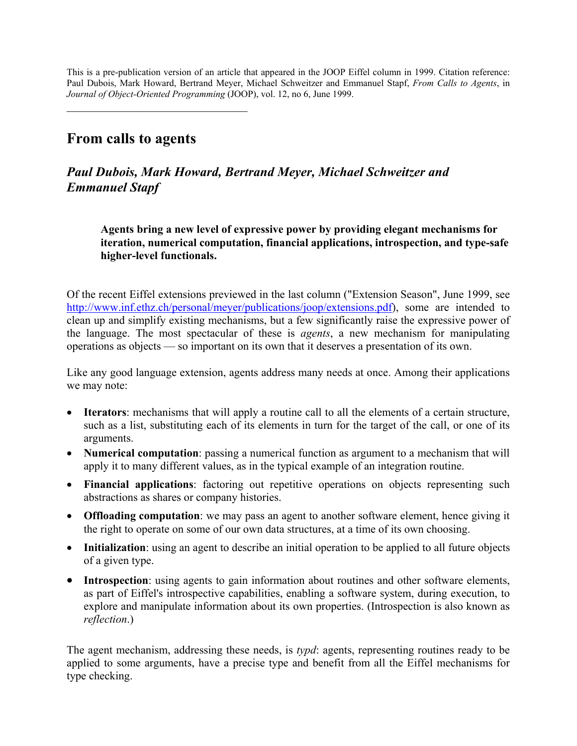This is a pre-publication version of an article that appeared in the JOOP Eiffel column in 1999. Citation reference: Paul Dubois, Mark Howard, Bertrand Meyer, Michael Schweitzer and Emmanuel Stapf, *From Calls to Agents*, in *Journal of Object-Oriented Programming* (JOOP), vol. 12, no 6, June 1999.

# **From calls to agents**

 $\overline{\phantom{a}}$  , and the set of the set of the set of the set of the set of the set of the set of the set of the set of the set of the set of the set of the set of the set of the set of the set of the set of the set of the s

## *Paul Dubois, Mark Howard, Bertrand Meyer, Michael Schweitzer and Emmanuel Stapf*

**Agents bring a new level of expressive power by providing elegant mechanisms for iteration, numerical computation, financial applications, introspection, and type-safe higher-level functionals.** 

Of the recent Eiffel extensions previewed in the last column ("Extension Season", June 1999, see <http://www.inf.ethz.ch/personal/meyer/publications/joop/extensions.pdf>), some are intended to clean up and simplify existing mechanisms, but a few significantly raise the expressive power of the language. The most spectacular of these is *agents*, a new mechanism for manipulating operations as objects — so important on its own that it deserves a presentation of its own.

Like any good language extension, agents address many needs at once. Among their applications we may note:

- **Iterators**: mechanisms that will apply a routine call to all the elements of a certain structure, such as a list, substituting each of its elements in turn for the target of the call, or one of its arguments.
- **Numerical computation**: passing a numerical function as argument to a mechanism that will apply it to many different values, as in the typical example of an integration routine.
- **Financial applications**: factoring out repetitive operations on objects representing such abstractions as shares or company histories.
- **Offloading computation**: we may pass an agent to another software element, hence giving it the right to operate on some of our own data structures, at a time of its own choosing.
- **Initialization**: using an agent to describe an initial operation to be applied to all future objects of a given type.
- **Introspection**: using agents to gain information about routines and other software elements, as part of Eiffel's introspective capabilities, enabling a software system, during execution, to explore and manipulate information about its own properties. (Introspection is also known as *reflection*.)

The agent mechanism, addressing these needs, is *typd*: agents, representing routines ready to be applied to some arguments, have a precise type and benefit from all the Eiffel mechanisms for type checking.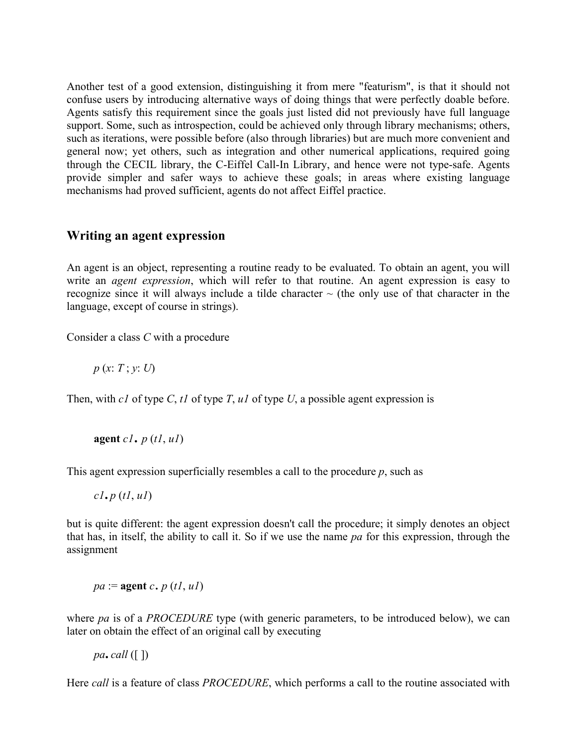Another test of a good extension, distinguishing it from mere "featurism", is that it should not confuse users by introducing alternative ways of doing things that were perfectly doable before. Agents satisfy this requirement since the goals just listed did not previously have full language support. Some, such as introspection, could be achieved only through library mechanisms; others, such as iterations, were possible before (also through libraries) but are much more convenient and general now; yet others, such as integration and other numerical applications, required going through the CECIL library, the C-Eiffel Call-In Library, and hence were not type-safe. Agents provide simpler and safer ways to achieve these goals; in areas where existing language mechanisms had proved sufficient, agents do not affect Eiffel practice.

#### **Writing an agent expression**

An agent is an object, representing a routine ready to be evaluated. To obtain an agent, you will write an *agent expression*, which will refer to that routine. An agent expression is easy to recognize since it will always include a tilde character  $\sim$  (the only use of that character in the language, except of course in strings).

Consider a class *C* with a procedure

*p* (*x*: *T* ; *y*: *U*)

Then, with *c1* of type *C*, *t1* of type *T*, *u1* of type *U*, a possible agent expression is

$$
agent\,cl.\,p\,(tl, ul)
$$

This agent expression superficially resembles a call to the procedure *p*, such as

*c1.p* (*t1*, *u1*)

but is quite different: the agent expression doesn't call the procedure; it simply denotes an object that has, in itself, the ability to call it. So if we use the name *pa* for this expression, through the assignment

*pa* := **agent** *<sup>c</sup>*. *<sup>p</sup>* (*t1*, *u1*)

where *pa* is of a *PROCEDURE* type (with generic parameters, to be introduced below), we can later on obtain the effect of an original call by executing

 $pa$ .call  $(\lceil \rceil)$ 

Here *call* is a feature of class *PROCEDURE*, which performs a call to the routine associated with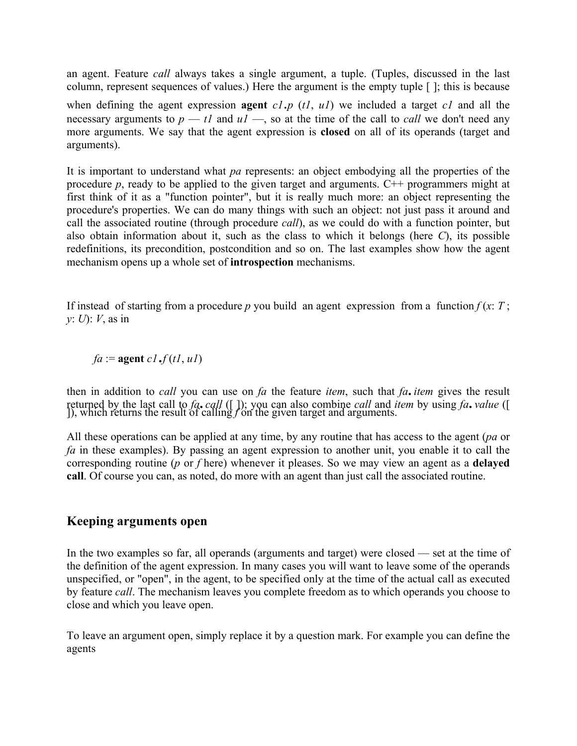an agent. Feature *call* always takes a single argument, a tuple. (Tuples, discussed in the last column, represent sequences of values.) Here the argument is the empty tuple [ ]; this is because

when defining the agent expression **agent** *c1*.*p* (*t1*, *u1*) we included a target *c1* and all the necessary arguments to  $p - t1$  and  $u1 -$ , so at the time of the call to *call* we don't need any more arguments. We say that the agent expression is **closed** on all of its operands (target and arguments).

It is important to understand what *pa* represents: an object embodying all the properties of the procedure  $p$ , ready to be applied to the given target and arguments.  $C^{++}$  programmers might at first think of it as a "function pointer", but it is really much more: an object representing the procedure's properties. We can do many things with such an object: not just pass it around and call the associated routine (through procedure *call*), as we could do with a function pointer, but also obtain information about it, such as the class to which it belongs (here *C*), its possible redefinitions, its precondition, postcondition and so on. The last examples show how the agent mechanism opens up a whole set of **introspection** mechanisms.

If instead of starting from a procedure *p* you build an agent expression from a function  $f(x; T)$ ; *y*: *U*): *V*, as in

 $fa := \text{agent } cl \cdot f(t1, u1)$ 

then in addition to *call* you can use on *fa* the feature *item*, such that *fa.item* gives the result returned by the last call to *fa.call* ([ ]); you can also combine *call* and *item* by using *fa.value* ([ ]), which returns the result of calling *f* on the given target and arguments.

All these operations can be applied at any time, by any routine that has access to the agent (*pa* or *fa* in these examples). By passing an agent expression to another unit, you enable it to call the corresponding routine (*p* or *f* here) whenever it pleases. So we may view an agent as a **delayed call**. Of course you can, as noted, do more with an agent than just call the associated routine.

#### **Keeping arguments open**

In the two examples so far, all operands (arguments and target) were closed — set at the time of the definition of the agent expression. In many cases you will want to leave some of the operands unspecified, or "open", in the agent, to be specified only at the time of the actual call as executed by feature *call*. The mechanism leaves you complete freedom as to which operands you choose to close and which you leave open.

To leave an argument open, simply replace it by a question mark. For example you can define the agents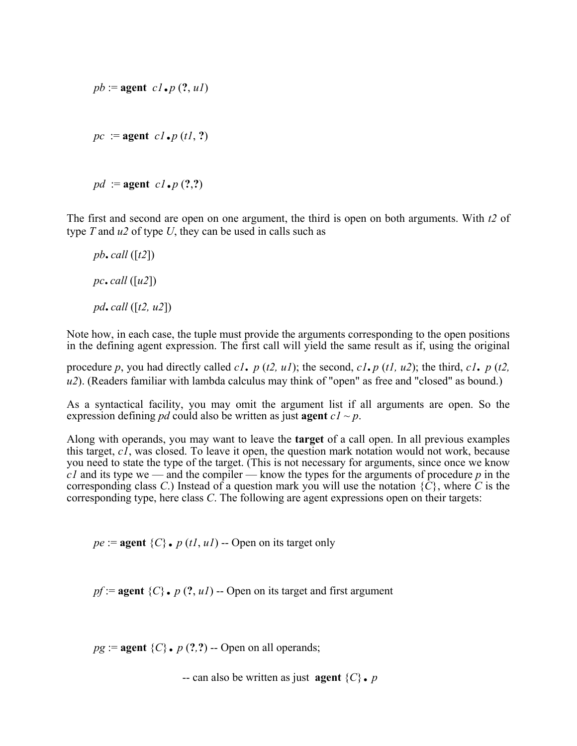$pb := \text{agent } cl \cdot p(?, ul)$  $pc := \text{agent } cl \cdot p(t1, ?)$ 

 $pd :=$ **agent**  $c1 \cdot p(?,?)$ 

The first and second are open on one argument, the third is open on both arguments. With *t2* of type *T* and *u2* of type *U*, they can be used in calls such as

 $pb$ **.** call  $([t2])$  $pc$ , *call* ([ $u2$ ])  *pd.call* ([*t2, u2*])

Note how, in each case, the tuple must provide the arguments corresponding to the open positions in the defining agent expression. The first call will yield the same result as if, using the original

procedure *p*, you had directly called *c1. p* (*t2, u1*); the second, *c1.p* (*t1, u2*); the third, *c1. p* (*t2, u2*). (Readers familiar with lambda calculus may think of "open" as free and "closed" as bound.)

As a syntactical facility, you may omit the argument list if all arguments are open. So the expression defining *pd* could also be written as just **agent**  $c1 \sim p$ .

Along with operands, you may want to leave the **target** of a call open. In all previous examples this target, *c1*, was closed. To leave it open, the question mark notation would not work, because you need to state the type of the target. (This is not necessary for arguments, since once we know  $c_1$  and its type we — and the compiler — know the types for the arguments of procedure  $p$  in the corresponding class *C*.) Instead of a question mark you will use the notation  $\{C\}$ , where *C* is the corresponding type, here class *C*. The following are agent expressions open on their targets:

 $pe := \textbf{agent} \{C\}$ . *p* (*t1*, *u1*) -- Open on its target only

 $pf := \text{agent } {C}$ .  $p(?, uI) - \text{Open on its target and first argument}$ 

 $pg :=$ **agent**  $\{C\}$ . *p* (?,?) -- Open on all operands;

-- can also be written as just **agent**  $\{C\}$ . *p*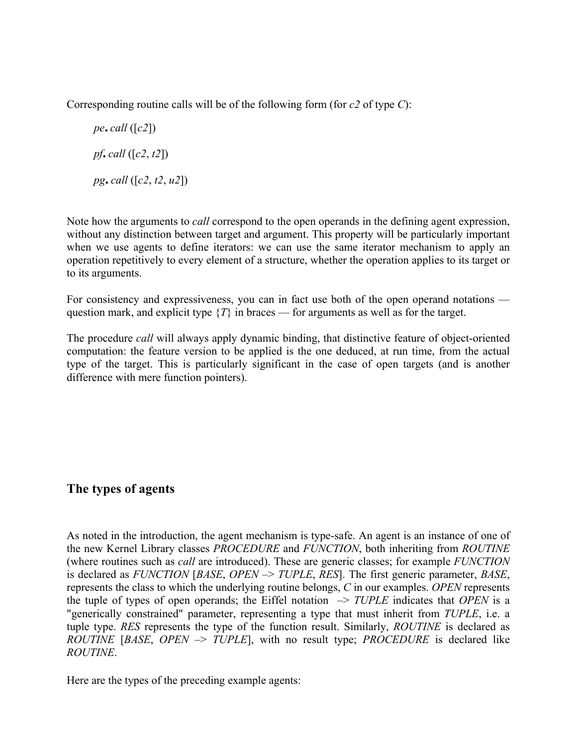Corresponding routine calls will be of the following form (for *c2* of type *C*):

$$
pe\text{.} \text{call } ([c2])
$$
\n
$$
pf\text{.} \text{call } ([c2, t2])
$$
\n
$$
pg\text{.} \text{call } ([c2, t2, u2])
$$

Note how the arguments to *call* correspond to the open operands in the defining agent expression, without any distinction between target and argument. This property will be particularly important when we use agents to define iterators: we can use the same iterator mechanism to apply an operation repetitively to every element of a structure, whether the operation applies to its target or to its arguments.

For consistency and expressiveness, you can in fact use both of the open operand notations question mark, and explicit type  $\{T\}$  in braces — for arguments as well as for the target.

The procedure *call* will always apply dynamic binding, that distinctive feature of object-oriented computation: the feature version to be applied is the one deduced, at run time, from the actual type of the target. This is particularly significant in the case of open targets (and is another difference with mere function pointers).

### **The types of agents**

As noted in the introduction, the agent mechanism is type-safe. An agent is an instance of one of the new Kernel Library classes *PROCEDURE* and *FUNCTION*, both inheriting from *ROUTINE* (where routines such as *call* are introduced). These are generic classes; for example *FUNCTION*  is declared as *FUNCTION* [*BASE*, *OPEN –*> *TUPLE*, *RES*]. The first generic parameter, *BASE*, represents the class to which the underlying routine belongs, *C* in our examples. *OPEN* represents the tuple of types of open operands; the Eiffel notation  $\rightarrow$  *TUPLE* indicates that *OPEN* is a "generically constrained" parameter, representing a type that must inherit from *TUPLE*, i.e. a tuple type. *RES* represents the type of the function result. Similarly, *ROUTINE* is declared as *ROUTINE* [*BASE*, *OPEN –*> *TUPLE*], with no result type; *PROCEDURE* is declared like *ROUTINE*.

Here are the types of the preceding example agents: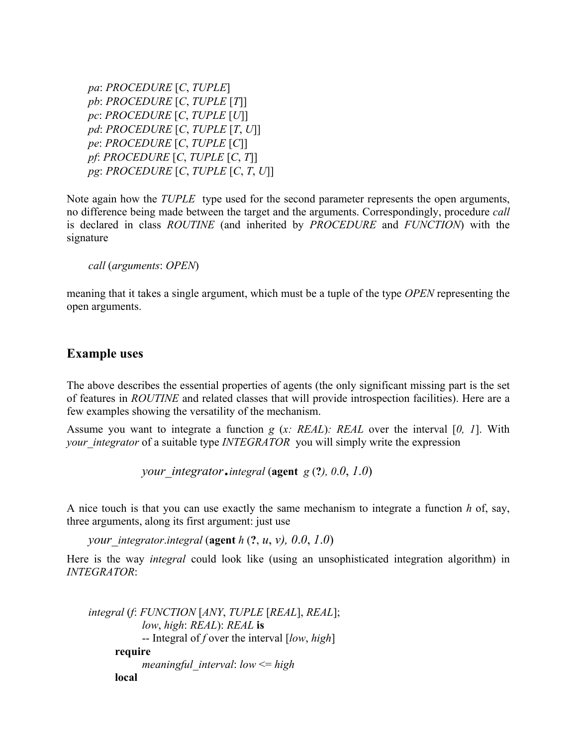*pa*: *PROCEDURE* [*C*, *TUPLE*] *pb*: *PROCEDURE* [*C*, *TUPLE* [*T*]]  *pc*: *PROCEDURE* [*C*, *TUPLE* [*U*]]  *pd*: *PROCEDURE* [*C*, *TUPLE* [*T*, *U*]]  *pe*: *PROCEDURE* [*C*, *TUPLE* [*C*]]  *pf*: *PROCEDURE* [*C*, *TUPLE* [*C*, *T*]]  *pg*: *PROCEDURE* [*C*, *TUPLE* [*C*, *T*, *U*]]

Note again how the *TUPLE* type used for the second parameter represents the open arguments, no difference being made between the target and the arguments. Correspondingly, procedure *call*  is declared in class *ROUTINE* (and inherited by *PROCEDURE* and *FUNCTION*) with the signature

*call* (*arguments*: *OPEN*)

meaning that it takes a single argument, which must be a tuple of the type *OPEN* representing the open arguments.

#### **Example uses**

The above describes the essential properties of agents (the only significant missing part is the set of features in *ROUTINE* and related classes that will provide introspection facilities). Here are a few examples showing the versatility of the mechanism.

Assume you want to integrate a function *g* (*x: REAL*)*: REAL* over the interval [*0, 1*]. With *your\_integrator* of a suitable type *INTEGRATOR* you will simply write the expression

 *your\_integrator*.*integral* (**agent** *<sup>g</sup>*(**?***), 0*.*0*, *1*.*0*)

A nice touch is that you can use exactly the same mechanism to integrate a function *h* of, say, three arguments, along its first argument: just use

 *your\_integrator*.*integral* (**agent** *h* (**?**, *u*, *v), 0*.*0*, *1*.*0*)

Here is the way *integral* could look like (using an unsophisticated integration algorithm) in *INTEGRATOR*:

```
integral (f: FUNCTION [ANY, TUPLE [REAL], REAL];
           low, high: REAL): REAL is
           -- Integral of f over the interval [low, high] 
     require
           meaningful_interval: low <= high 
     local
```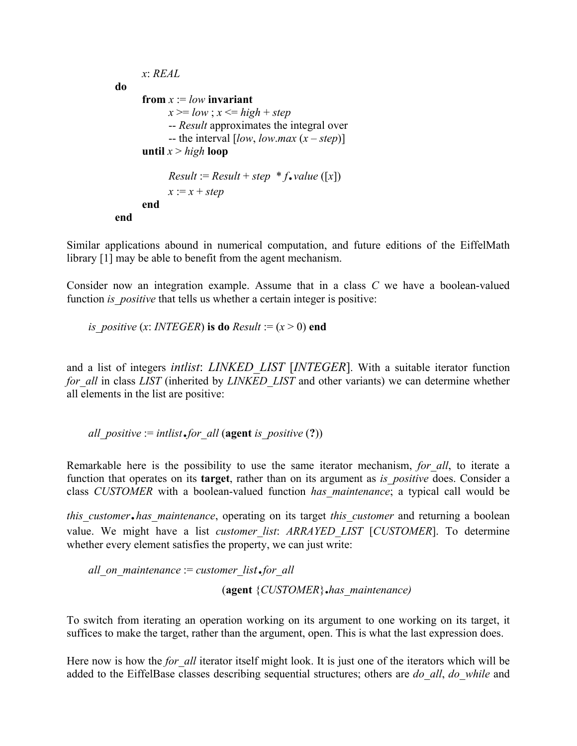```
 x: REAL 
do
     from x := low invariant
            x \geq -\log x; x \leq -\ln(\ln x) + \ln \ln x -- Result approximates the integral over 
            - the interval [low, low.max (x – step)]
     until x > highloop
            Result := Result + step * f \cdot value ([x])x := x + step end 
end
```
Similar applications abound in numerical computation, and future editions of the EiffelMath library [1] may be able to benefit from the agent mechanism.

Consider now an integration example. Assume that in a class *C* we have a boolean-valued function *is positive* that tells us whether a certain integer is positive:

*is* positive (*x*: *INTEGER*) **is do**  $Result := (x > 0)$  **end** 

and a list of integers *intlist*: *LINKED\_LIST* [*INTEGER*]. With a suitable iterator function *for all* in class *LIST* (inherited by *LINKED LIST* and other variants) we can determine whether all elements in the list are positive:

*all* positive := *intlist*.*for all* (**agent** *is* positive (?))

Remarkable here is the possibility to use the same iterator mechanism, *for\_all*, to iterate a function that operates on its **target**, rather than on its argument as *is\_positive* does. Consider a class *CUSTOMER* with a boolean-valued function *has\_maintenance*; a typical call would be

*this\_customer*.*has\_maintenance*, operating on its target *this\_customer* and returning a boolean value. We might have a list *customer\_list*: *ARRAYED\_LIST* [*CUSTOMER*]. To determine whether every element satisfies the property, we can just write:

*all\_on\_maintenance* := *customer\_list*.*for\_all* (**agent** {*CUSTOMER*}**.***has\_maintenance)* 

To switch from iterating an operation working on its argument to one working on its target, it suffices to make the target, rather than the argument, open. This is what the last expression does.

Here now is how the *for all* iterator itself might look. It is just one of the iterators which will be added to the EiffelBase classes describing sequential structures; others are *do\_all*, *do\_while* and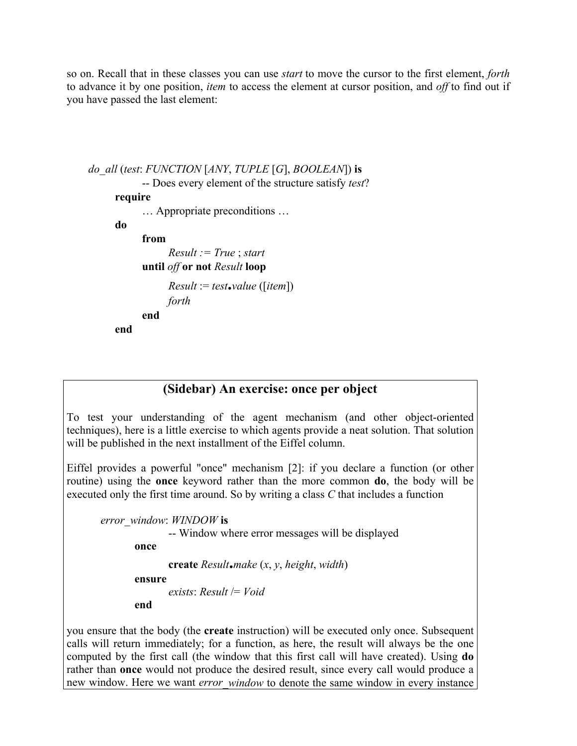so on. Recall that in these classes you can use *start* to move the cursor to the first element, *forth* to advance it by one position, *item* to access the element at cursor position, and *off* to find out if you have passed the last element:

```
do_all (test: FUNCTION [ANY, TUPLE [G], BOOLEAN]) is
             -- Does every element of the structure satisfy test? 
      require
             … Appropriate preconditions … 
      do
             from
                    Result := True ; start 
             until off or not Result loop
                  Result := test \cdot value \left( \left[ item \right] \right) forth 
             end
      end
```
### **(Sidebar) An exercise: once per object**

To test your understanding of the agent mechanism (and other object-oriented techniques), here is a little exercise to which agents provide a neat solution. That solution will be published in the next installment of the Eiffel column.

Eiffel provides a powerful "once" mechanism [2]: if you declare a function (or other routine) using the **once** keyword rather than the more common **do**, the body will be executed only the first time around. So by writing a class *C* that includes a function

*error\_window*: *WINDOW* **is** -- Window where error messages will be displayed **once create** *Result***.***make* (*x*, *y*, *height*, *width*) **ensure**  *exists*: *Result* /= *Void*

**end** 

you ensure that the body (the **create** instruction) will be executed only once. Subsequent calls will return immediately; for a function, as here, the result will always be the one computed by the first call (the window that this first call will have created). Using **do** rather than **once** would not produce the desired result, since every call would produce a new window. Here we want *error* window to denote the same window in every instance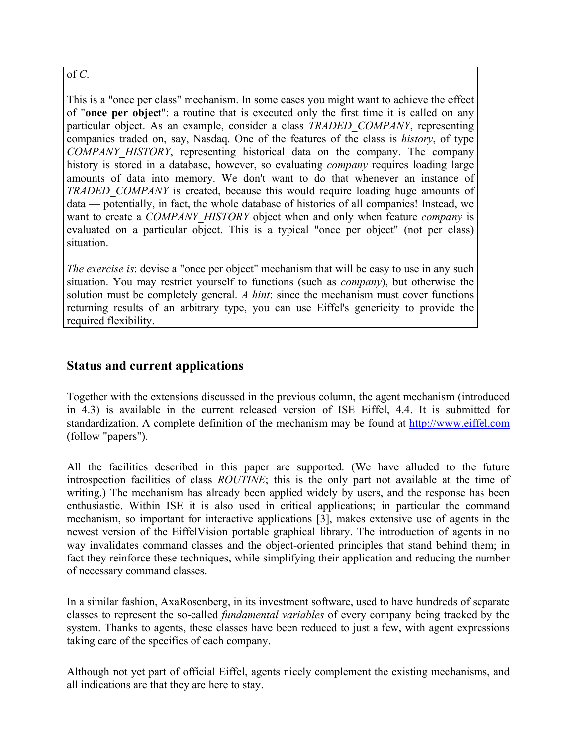#### of *C*.

This is a "once per class" mechanism. In some cases you might want to achieve the effect of "**once per objec**t": a routine that is executed only the first time it is called on any particular object. As an example, consider a class *TRADED\_COMPANY*, representing companies traded on, say, Nasdaq. One of the features of the class is *history*, of type *COMPANY\_HISTORY*, representing historical data on the company. The company history is stored in a database, however, so evaluating *company* requires loading large amounts of data into memory. We don't want to do that whenever an instance of *TRADED\_COMPANY* is created, because this would require loading huge amounts of data — potentially, in fact, the whole database of histories of all companies! Instead, we want to create a *COMPANY\_HISTORY* object when and only when feature *company* is evaluated on a particular object. This is a typical "once per object" (not per class) situation.

*The exercise is*: devise a "once per object" mechanism that will be easy to use in any such situation. You may restrict yourself to functions (such as *company*), but otherwise the solution must be completely general. *A hint*: since the mechanism must cover functions returning results of an arbitrary type, you can use Eiffel's genericity to provide the required flexibility. 

### **Status and current applications**

Together with the extensions discussed in the previous column, the agent mechanism (introduced in 4.3) is available in the current released version of ISE Eiffel, 4.4. It is submitted for standardization. A complete definition of the mechanism may be found at [http://www.eiffel.com](http://www.eiffel.com/) (follow "papers").

All the facilities described in this paper are supported. (We have alluded to the future introspection facilities of class *ROUTINE*; this is the only part not available at the time of writing.) The mechanism has already been applied widely by users, and the response has been enthusiastic. Within ISE it is also used in critical applications; in particular the command mechanism, so important for interactive applications [3], makes extensive use of agents in the newest version of the EiffelVision portable graphical library. The introduction of agents in no way invalidates command classes and the object-oriented principles that stand behind them; in fact they reinforce these techniques, while simplifying their application and reducing the number of necessary command classes.

In a similar fashion, AxaRosenberg, in its investment software, used to have hundreds of separate classes to represent the so-called *fundamental variables* of every company being tracked by the system. Thanks to agents, these classes have been reduced to just a few, with agent expressions taking care of the specifics of each company.

Although not yet part of official Eiffel, agents nicely complement the existing mechanisms, and all indications are that they are here to stay.